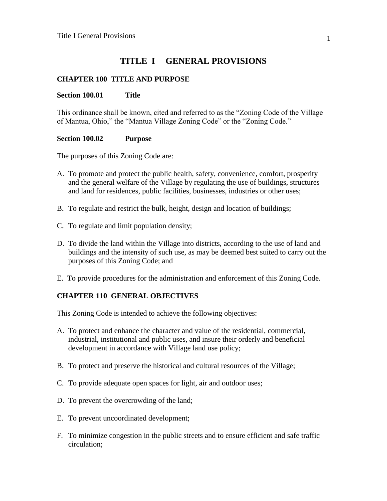## **TITLE I GENERAL PROVISIONS**

## **CHAPTER 100 TITLE AND PURPOSE**

### **Section 100.01 Title**

This ordinance shall be known, cited and referred to as the "Zoning Code of the Village of Mantua, Ohio," the "Mantua Village Zoning Code" or the "Zoning Code."

### **Section 100.02 Purpose**

The purposes of this Zoning Code are:

- A. To promote and protect the public health, safety, convenience, comfort, prosperity and the general welfare of the Village by regulating the use of buildings, structures and land for residences, public facilities, businesses, industries or other uses;
- B. To regulate and restrict the bulk, height, design and location of buildings;
- C. To regulate and limit population density;
- D. To divide the land within the Village into districts, according to the use of land and buildings and the intensity of such use, as may be deemed best suited to carry out the purposes of this Zoning Code; and
- E. To provide procedures for the administration and enforcement of this Zoning Code.

## **CHAPTER 110 GENERAL OBJECTIVES**

This Zoning Code is intended to achieve the following objectives:

- A. To protect and enhance the character and value of the residential, commercial, industrial, institutional and public uses, and insure their orderly and beneficial development in accordance with Village land use policy;
- B. To protect and preserve the historical and cultural resources of the Village;
- C. To provide adequate open spaces for light, air and outdoor uses;
- D. To prevent the overcrowding of the land;
- E. To prevent uncoordinated development;
- F. To minimize congestion in the public streets and to ensure efficient and safe traffic circulation;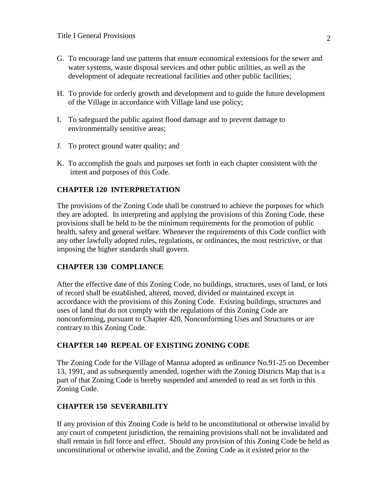- G. To encourage land use patterns that ensure economical extensions for the sewer and water systems, waste disposal services and other public utilities, as well as the development of adequate recreational facilities and other public facilities;
- H. To provide for orderly growth and development and to guide the future development of the Village in accordance with Village land use policy;
- I. To safeguard the public against flood damage and to prevent damage to environmentally sensitive areas;
- J. To protect ground water quality; and
- K. To accomplish the goals and purposes set forth in each chapter consistent with the intent and purposes of this Code.

## **CHAPTER 120 INTERPRETATION**

The provisions of the Zoning Code shall be construed to achieve the purposes for which they are adopted. In interpreting and applying the provisions of this Zoning Code, these provisions shall be held to be the minimum requirements for the promotion of public health, safety and general welfare. Whenever the requirements of this Code conflict with any other lawfully adopted rules, regulations, or ordinances, the most restrictive, or that imposing the higher standards shall govern.

## **CHAPTER 130 COMPLIANCE**

After the effective date of this Zoning Code, no buildings, structures, uses of land, or lots of record shall be established, altered, moved, divided or maintained except in accordance with the provisions of this Zoning Code. Existing buildings, structures and uses of land that do not comply with the regulations of this Zoning Code are nonconforming*,* pursuant to Chapter 420, Nonconforming Uses and Structures or are contrary to this Zoning Code.

#### **CHAPTER 140 REPEAL OF EXISTING ZONING CODE**

The Zoning Code for the Village of Mantua adopted as ordinance No.91-25 on December 13, 1991, and as subsequently amended, together with the Zoning Districts Map that is a part of that Zoning Code is hereby suspended and amended to read as set forth in this Zoning Code.

## **CHAPTER 150 SEVERABILITY**

If any provision of this Zoning Code is held to be unconstitutional or otherwise invalid by any court of competent jurisdiction, the remaining provisions shall not be invalidated and shall remain in full force and effect. Should any provision of this Zoning Code be held as unconstitutional or otherwise invalid, and the Zoning Code as it existed prior to the